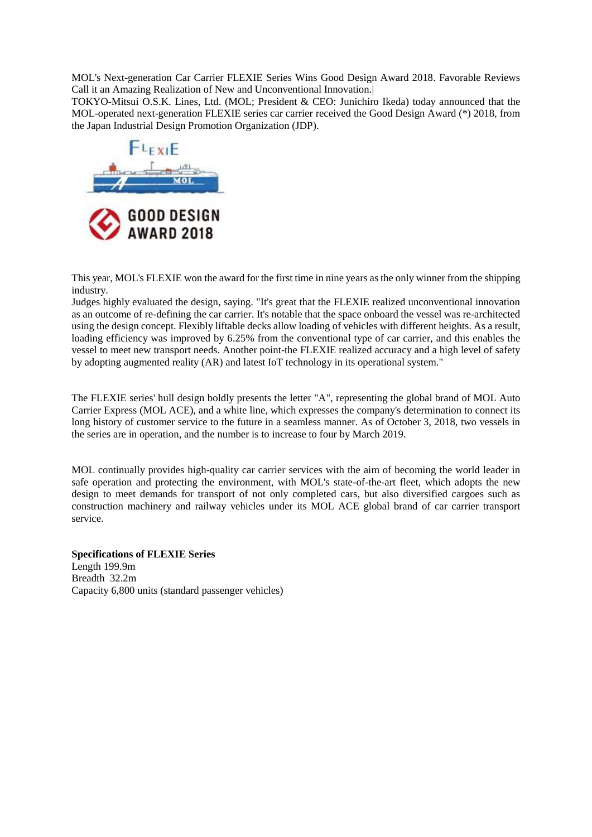MOL's Next-generation Car Carrier FLEXIE Series Wins Good Design Award 2018. Favorable Reviews Call it an Amazing Realization of New and Unconventional Innovation.|

TOKYO-Mitsui O.S.K. Lines, Ltd. (MOL; President & CEO: Junichiro Ikeda) today announced that the MOL-operated next-generation FLEXIE series car carrier received the Good Design Award (\*) 2018, from the Japan Industrial Design Promotion Organization (JDP).



This year, MOL's FLEXIE won the award for the first time in nine years as the only winner from the shipping industry.

Judges highly evaluated the design, saying. "It's great that the FLEXIE realized unconventional innovation as an outcome of re-defining the car carrier. It's notable that the space onboard the vessel was re-architected using the design concept. Flexibly liftable decks allow loading of vehicles with different heights. As a result, loading efficiency was improved by 6.25% from the conventional type of car carrier, and this enables the vessel to meet new transport needs. Another point-the FLEXIE realized accuracy and a high level of safety by adopting augmented reality (AR) and latest IoT technology in its operational system."

The FLEXIE series' hull design boldly presents the letter "A", representing the global brand of MOL Auto Carrier Express (MOL ACE), and a white line, which expresses the company's determination to connect its long history of customer service to the future in a seamless manner. As of October 3, 2018, two vessels in the series are in operation, and the number is to increase to four by March 2019.

MOL continually provides high-quality car carrier services with the aim of becoming the world leader in safe operation and protecting the environment, with MOL's state-of-the-art fleet, which adopts the new design to meet demands for transport of not only completed cars, but also diversified cargoes such as construction machinery and railway vehicles under its MOL ACE global brand of car carrier transport service.

**Specifications of FLEXIE Series** Length 199.9m Breadth 32.2m Capacity 6,800 units (standard passenger vehicles)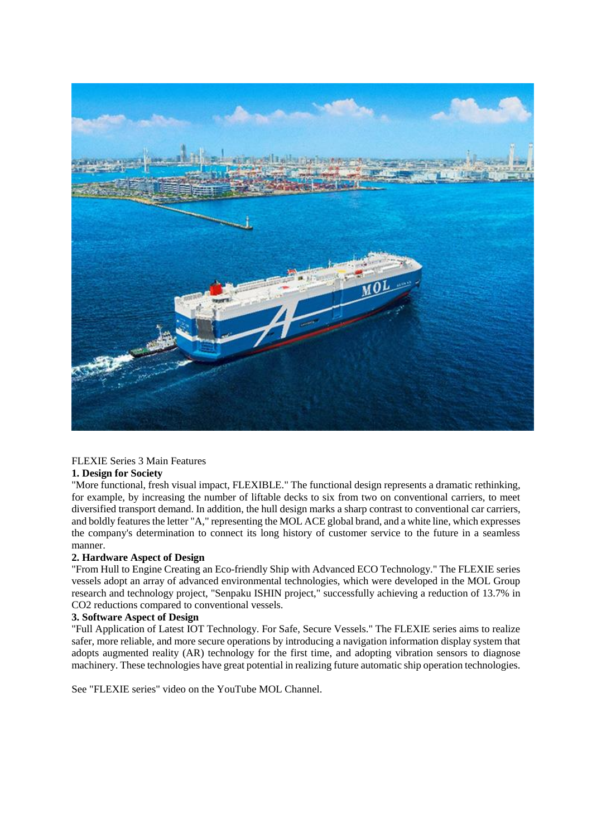

## FLEXIE Series 3 Main Features

### **1. Design for Society**

"More functional, fresh visual impact, FLEXIBLE." The functional design represents a dramatic rethinking, for example, by increasing the number of liftable decks to six from two on conventional carriers, to meet diversified transport demand. In addition, the hull design marks a sharp contrast to conventional car carriers, and boldly features the letter "A," representing the MOL ACE global brand, and a white line, which expresses the company's determination to connect its long history of customer service to the future in a seamless manner.

## **2. Hardware Aspect of Design**

"From Hull to Engine Creating an Eco-friendly Ship with Advanced ECO Technology." The FLEXIE series vessels adopt an array of advanced environmental technologies, which were developed in the MOL Group research and technology project, "Senpaku ISHIN project," successfully achieving a reduction of 13.7% in CO2 reductions compared to conventional vessels.

#### **3. Software Aspect of Design**

"Full Application of Latest IOT Technology. For Safe, Secure Vessels." The FLEXIE series aims to realize safer, more reliable, and more secure operations by introducing a navigation information display system that adopts augmented reality (AR) technology for the first time, and adopting vibration sensors to diagnose machinery. These technologies have great potential in realizing future automatic ship operation technologies.

See "FLEXIE series" video on the YouTube MOL Channel.